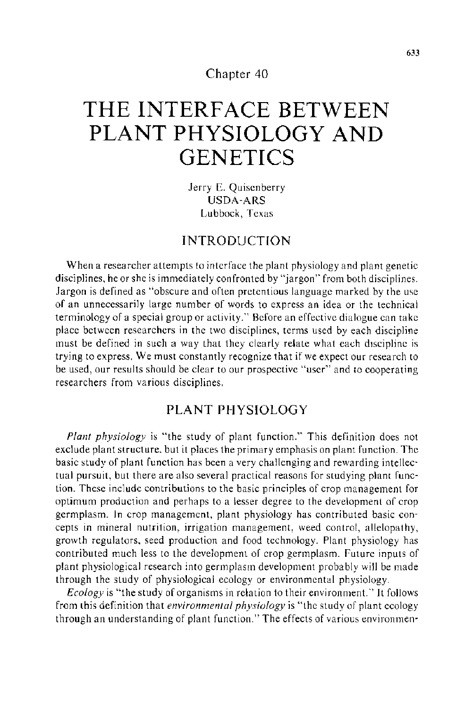Chapter 40

# **THE INTERFACE BETWEEN PLANT PHYSIOLOGY AND GENETICS**

Jerry E. Quisenberry USDA-ARS Lubbock, Texas

## INTRODUCTION

When a researcher attempts to interface the plant physiology and plant genetic disciplines, he or she is immediately confronted by "jargon'' from both disciplines. Jargon is defined as "obscure and often pretentious language marked by the use of an unnecessarily large number of words to express an idea or the technical terminology of a special group or activity.'' Before an effective dialogue can take place between researchers in the two disciplines, terms used by each discipline must be defined in such a way that they clearly relate what each discipline is trying to express. We must constantly recognize that if we expect our research to be used, our results should be clear to our prospective "user" and to cooperating researchers from various disciplines.

## PLANT PHYSIOLOGY

*Plant physiology* is "the study of plant function." This definition does not exclude plant structure. but it places the primary emphasis on plant function. The basic study of plant function has been a very challenging and rewarding intellectual pursuit, but there are also several practical reasons for studying plant function. These include contributions to the basic principles of crop management for optimum production and perhaps to a lesser degree to the development of crop germplasm. In crop management, plant physiology has contributed basic concepts in mineral nutrition, irrigation management, weed control, allelopathy, growth regulators, seed production and food technology. Plant physiology has contributed much less to the development of crop germplasm. Future inputs of plant physiological research into germplasm development probably will be made through the study of physiological ecology or environmental physiology.

*Ecology* is "the study of organisms in relation to their environment.'' It follows from this definition that *environmental physiology* is "the study of plant ecology through an understanding of plant function." The effects of various environmen-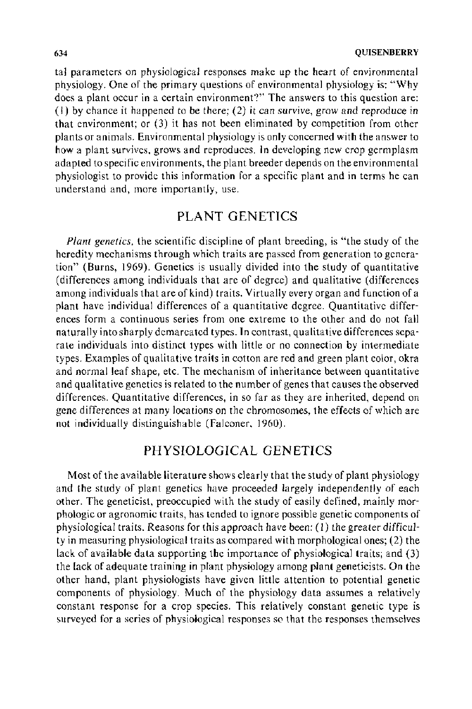tal parameters on physiological responses make up the heart of environmental physiology. One of the primary questions of environmental physiology is: "Why does a plant occur in a certain environment?" The answers to this question are: (I) by chance it happened to be there; (2) it can survive, grow and reproduce in that environment; or (3) it has not been eliminated by competition from other plants or animals. Environmental physiology is only concerned with the answer to how a plant survives, grows and reproduces. In developing new crop germplasm adapted to specific environments, the plant breeder depends on the environmental physiologist to provide this information for a specific plant and in terms he can understand and, more importantly, use.

#### PLANT GENETICS

*Plant genetics,* the scientific discipline of plant breeding, is "the study of the heredity mechanisms through which traits are passed from generation to generation" (Burns, 1969). Genetics is usually divided into the study of quantitative (differences among individuals that are of degree) and qualitative (differences among individuals that are of kind) traits. Virtually every organ and function of a plant have individual differences of a quantitative degree. Quantitative differences form a continuous series from one extreme to the other and do not fall naturally into sharply demarcated types. In contrast, qualitative differences separate individuals into distinct types with little or no connection by intermediate types. Examples of qualitative traits in cotton are red and green plant color, okra and normal leaf shape, etc. The mechanism of inheritance between quantitative and qualitative genetics is related to the number of genes that causes the observed differences. Quantitative differences, in so far as they are inherited, depend on gene differences at many locations on the chromosomes, the effects of which are not individually distinguishable (Falconer. 1960).

## PHYSIOLOGICAL GENETICS

Most of the available literature shows clearly that the study of plant physiology and the study of plant genetics have proceeded largely independently of each other. The geneticist, preoccupied with the study of easily defined, mainly morphologic or agronomic traits, has tended to ignore possible genetic components of physiological traits. Reasons for this approach have been: (I) the greater difficulty in measuring physiological traits as compared with morphological ones; (2) the lack of available data supporting the importance of physiological traits; and (3) the lack of adequate training in plant physiology among plant geneticists. On the other hand, plant physiologists have given little attention to potential genetic components of physiology. Much of the physiology data assumes a relatively constant response for a crop species. This relatively constant genetic type is surveyed for a series of physiological responses so that the responses themselves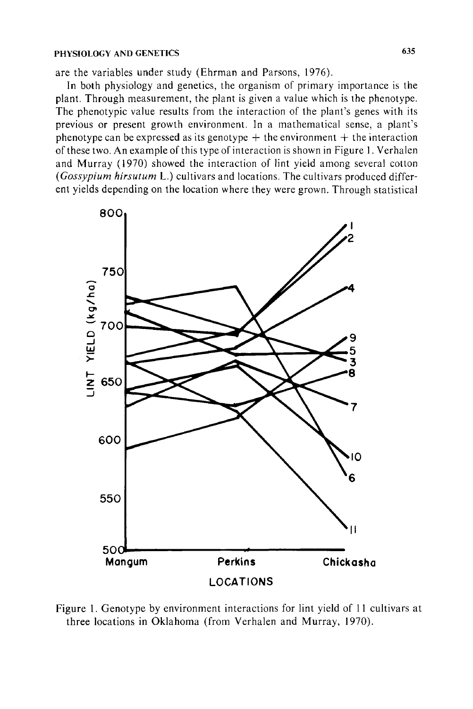#### **PHYSIOLOGY AND GENETICS** 635

are the variables under study (Ehrman and Parsons, 1976).

In both physiology and genetics, the organism of primary importance is the plant. Through measurement, the plant is given a value which is the phenotype. The phenotypic value results from the interaction of the plant's genes with its previous or present growth environment. In a mathematical sense, a plant's phenotype can be expressed as its genotype  $+$  the environment  $+$  the interaction of these two. An example of this type of interaction is shown in Figure I. Verhalen and Murray ( 1970) showed the interaction of lint yield among several cotton *(Gossypium hirsutum* L.) cultivars and locations. The cultivars produced different yields depending on the location where they were grown. Through statistical



Figure 1. Genotype by environment interactions for lint yield of II cultivars at three locations in Oklahoma (from Verhalen and Murray, 1970).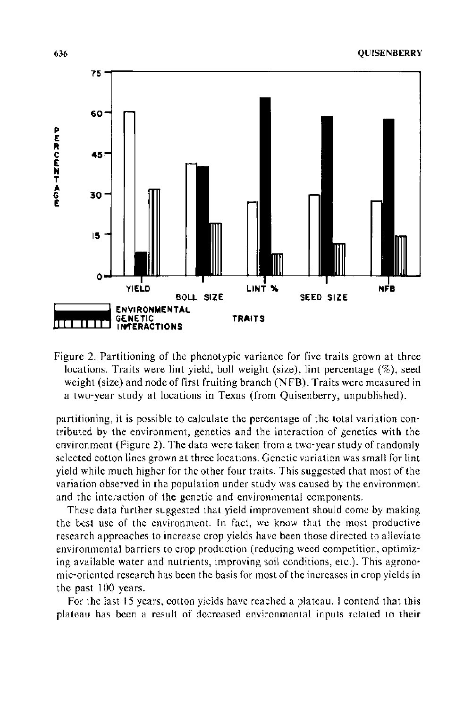

Figure 2. Partitioning of the phenotypic variance for five traits grown at three locations. Traits were lint yield, boll weight (size), lint percentage  $(\%)$ , seed weight (size) and node of first fruiting branch (NFB). Traits were measured in a two-year study at locations in Texas (from Quisenberry, unpublished).

partitioning, it is possible to calculate the percentage of the total variation contributed by the environment, genetics and the interaction of genetics with the environment (Figure 2). The data were taken from a two-year study of randomly selected cotton lines grown at three locations. Genetic variation was small for lint yield while much higher for the other four traits. This suggested that most of the variation observed in the population under study was caused by the environment and the interaction of the genetic and environmental components.

These data further suggested that yield improvement should come by making the best use of the environment. In fact, we know that the most productive research approaches to increase crop yields have been those directed to alleviate environmental barriers to crop production {reducing weed competition, optimizing available water and nutrients, improving soil conditions, etc.). This agronomic-oriented research has been the basis for most of the increases in crop yields in the past 100 years.

For the last 15 years, cotton yields have reached a plateau. I contend that this plateau has been a result of decreased environmental inputs related to their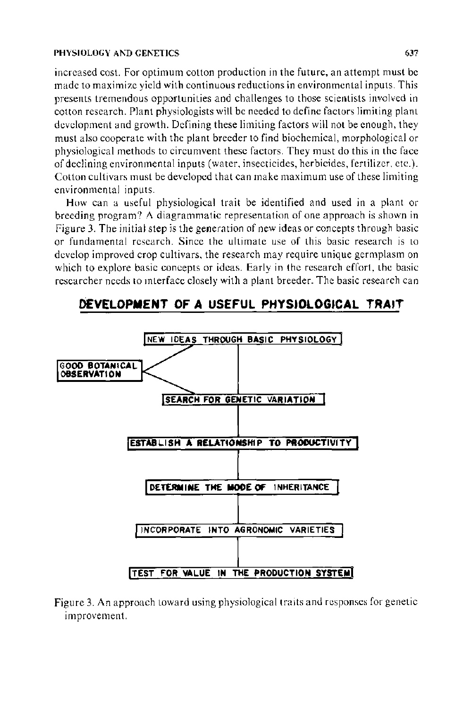#### **PHYSIOLOGY** AND GENETICS 637

increased cost. For optimum cotton production in the future, an attempt must be made to maximize yield with continuous reductions in environmental inputs. This presents tremendous opportunities and challenges to those scientists involved in cotton research. Plant physiologists will be needed to define factors limiting plant development and growth. Defining these limiting factors will not be enough, they must also cooperate with the plant breeder to find biochemical, morphological or physiological methods to circumvent these factors. They must do this in the face of declining environmental inputs (water, insecticides, herbicides, fertilizer. etc.). Cotton cultivars must be developed that can make maximum use of these limiting environmental inputs.

How can a useful physiological trait be identified and used in a plant or breeding program? A diagrammatic representation of one approach is shown in Figure 3. The initial step is the generation of new ideas or concepts through basic or fundamental research. Since the ultimate use of this basic research is to develop improved crop cultivars, the research may require unique germplasm on which to explore basic concepts or ideas. Early in the research effort, the basic researcher needs to mterface closely with a plant breeder. The basic research can

# **DEVELOPMENT OF A USEFUL PHYSIOLOGICAL TRAIT**



Figure 3. An approach toward using physiological traits and responses for genetic improvement.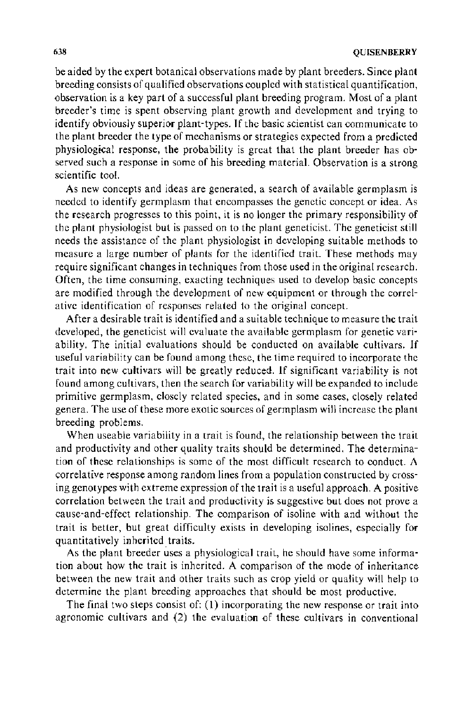be aided by the expert botanical observations made by plant breeders. Since plant breeding consists of qualified observations coupled with statistical quantification, observation is a key part of a successful plant breeding program. Most of a plant breeder's time is spent observing plant growth and development and trying to identify obviously superior plant-types. If the basic scientist can communicate to the plant breeder the type of mechanisms or strategies expected from a predicted physiological response, the probability is great that the plant breeder has observed such a response in some of his breeding material. Observation is a strong scientific tool.

As new concepts and ideas are generated, a search of available germplasm is needed to identify germplasm that encompasses the genetic concept or idea. As the research progresses to this point, it is no longer the primary responsibility of the plant physiologist but is passed on to the plant geneticist. The geneticist still needs the assistance of the plant physiologist in developing suitable methods to measure a large number of plants for the identified trait. These methods may require significant changes in techniques from those used in the original research. Often, the time consuming, exacting techniques used to develop basic concepts are modified through the development of new equipment or through the correlative identification of responses related to the original concept.

After a desirable trait is identified and a suitable technique to measure the trait developed, the geneticist will evaluate the available germplasm for genetic variability. The initial evaluations should be conducted on available cultivars. lf useful variability can be found among these, the time required to incorporate the trait into new cultivars will be greatly reduced. lf significant variability is not found among cultivars, then the search for variability will be expanded to include primitive germplasm, closely related species, and in some cases, closely related genera. The use of these more exotic sources of germplasm will increase the plant breeding problems.

When useable variability in a trait is found, the relationship between the trait and productivity and other quality traits should be determined. The determination of these relationships is some of the most difficult research to conduct. A correlative response among random lines from a population constructed by crossing genotypes with extreme expression of the trait is a useful approach. A positive correlation between the trait and productivity is suggestive but does not prove a cause-and-effect relationship. The comparison of isoline with and without the trait is better, but great difficulty exists in developing isolines, especially for quantitatively inherited traits.

As the plant breeder uses a physiological trait, he should have some information about how the trait is inherited. A comparison of the mode of inheritance between the new trait and other traits such as crop yield or quality will help to determine the plant breeding approaches that should be most productive.

The final two steps consist of: (1) incorporating the new response or trait into agronomic cultivars and (2) the evaluation of these cultivars in conventional